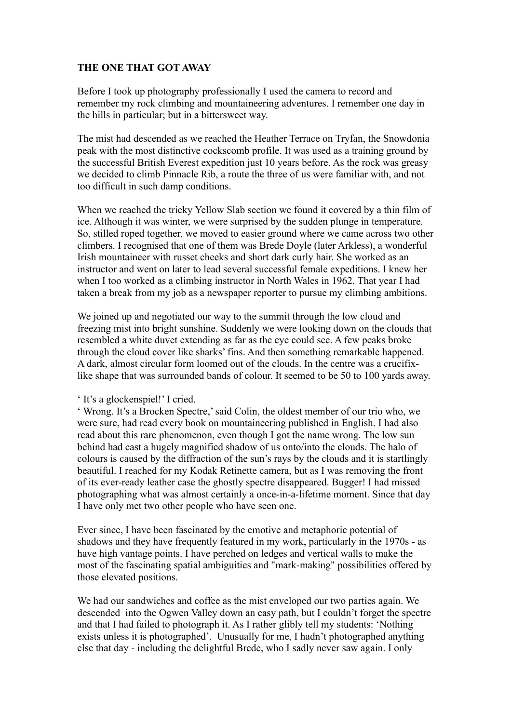## **THE ONE THAT GOT AWAY**

Before I took up photography professionally I used the camera to record and remember my rock climbing and mountaineering adventures. I remember one day in the hills in particular; but in a bittersweet way.

The mist had descended as we reached the Heather Terrace on Tryfan, the Snowdonia peak with the most distinctive cockscomb profile. It was used as a training ground by the successful British Everest expedition just 10 years before. As the rock was greasy we decided to climb Pinnacle Rib, a route the three of us were familiar with, and not too difficult in such damp conditions.

When we reached the tricky Yellow Slab section we found it covered by a thin film of ice. Although it was winter, we were surprised by the sudden plunge in temperature. So, stilled roped together, we moved to easier ground where we came across two other climbers. I recognised that one of them was Brede Doyle (later Arkless), a wonderful Irish mountaineer with russet cheeks and short dark curly hair. She worked as an instructor and went on later to lead several successful female expeditions. I knew her when I too worked as a climbing instructor in North Wales in 1962. That year I had taken a break from my job as a newspaper reporter to pursue my climbing ambitions.

We joined up and negotiated our way to the summit through the low cloud and freezing mist into bright sunshine. Suddenly we were looking down on the clouds that resembled a white duvet extending as far as the eye could see. A few peaks broke through the cloud cover like sharks' fins. And then something remarkable happened. A dark, almost circular form loomed out of the clouds. In the centre was a crucifixlike shape that was surrounded bands of colour. It seemed to be 50 to 100 yards away.

' It's a glockenspiel!' I cried.

' Wrong. It's a Brocken Spectre,' said Colin, the oldest member of our trio who, we were sure, had read every book on mountaineering published in English. I had also read about this rare phenomenon, even though I got the name wrong. The low sun behind had cast a hugely magnified shadow of us onto/into the clouds. The halo of colours is caused by the diffraction of the sun's rays by the clouds and it is startlingly beautiful. I reached for my Kodak Retinette camera, but as I was removing the front of its ever-ready leather case the ghostly spectre disappeared. Bugger! I had missed photographing what was almost certainly a once-in-a-lifetime moment. Since that day I have only met two other people who have seen one.

Ever since, I have been fascinated by the emotive and metaphoric potential of shadows and they have frequently featured in my work, particularly in the 1970s - as have high vantage points. I have perched on ledges and vertical walls to make the most of the fascinating spatial ambiguities and "mark-making" possibilities offered by those elevated positions.

We had our sandwiches and coffee as the mist enveloped our two parties again. We descended into the Ogwen Valley down an easy path, but I couldn't forget the spectre and that I had failed to photograph it. As I rather glibly tell my students: 'Nothing exists unless it is photographed'. Unusually for me, I hadn't photographed anything else that day - including the delightful Brede, who I sadly never saw again. I only